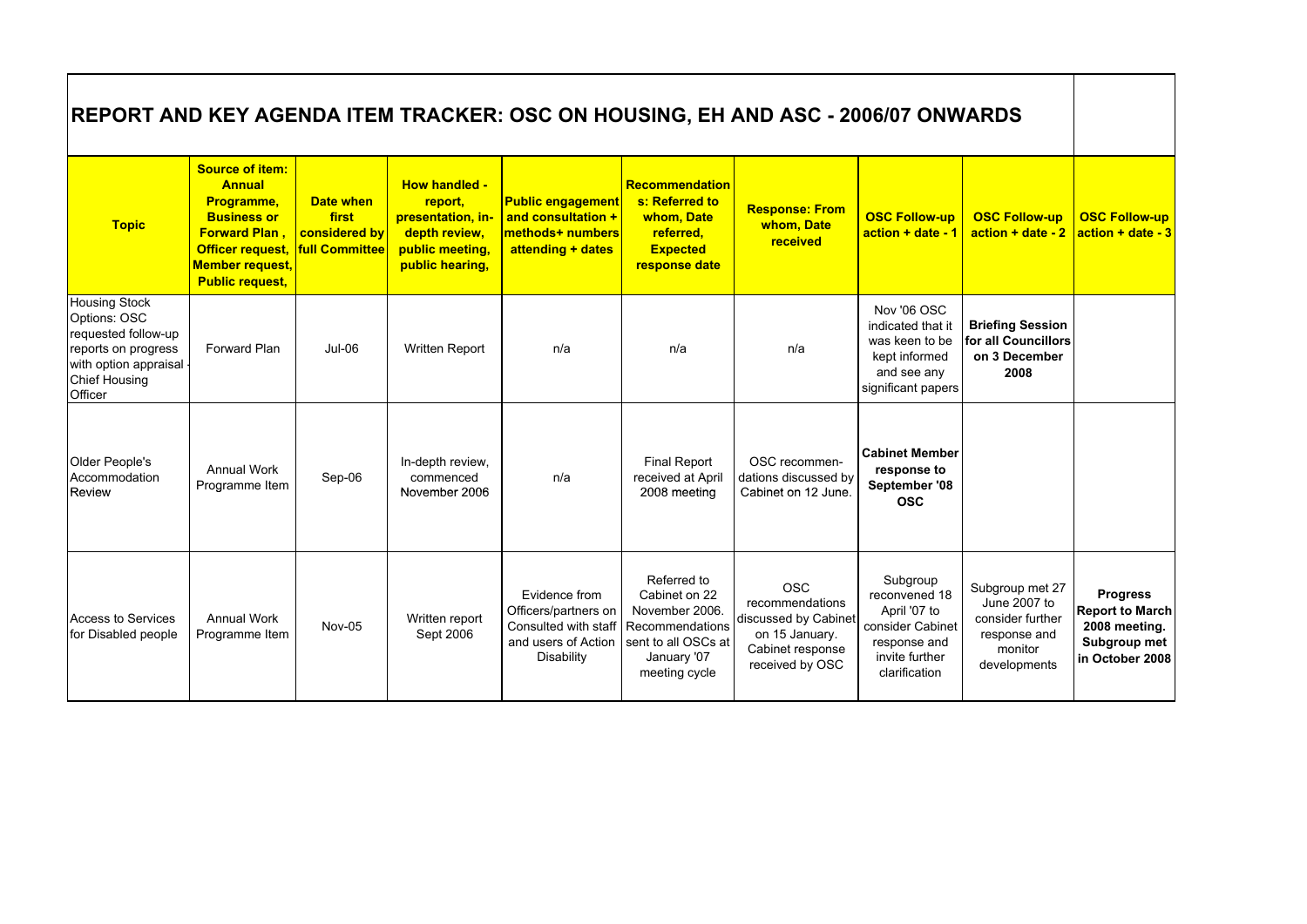| <b>Topic</b>                                                                                                                                     | <b>Source of item:</b><br><b>Annual</b><br>Programme,<br><b>Business or</b><br><b>Forward Plan.</b><br>Officer request,<br><b>Member request,</b><br><b>Public request,</b> | Date when<br>first<br>considered by<br><b>full Committee</b> | <b>How handled -</b><br>report,<br>presentation, in-<br>depth review,<br>public meeting,<br>public hearing, | <b>Public engagement</b><br>and consultation +<br>methods+ numbers<br>attending + dates            | <b>Recommendation</b><br>s: Referred to<br>whom, Date<br>referred.<br><b>Expected</b><br>response date                   | <b>Response: From</b><br>whom, Date<br>received                                                                | <b>OSC Follow-up</b><br>action + date - 1                                                                        | <b>OSC Follow-up</b><br>$actor + date - 2$                                                     | <b>OSC Follow-up</b><br>$action + date - 3$                                                   |
|--------------------------------------------------------------------------------------------------------------------------------------------------|-----------------------------------------------------------------------------------------------------------------------------------------------------------------------------|--------------------------------------------------------------|-------------------------------------------------------------------------------------------------------------|----------------------------------------------------------------------------------------------------|--------------------------------------------------------------------------------------------------------------------------|----------------------------------------------------------------------------------------------------------------|------------------------------------------------------------------------------------------------------------------|------------------------------------------------------------------------------------------------|-----------------------------------------------------------------------------------------------|
| <b>Housing Stock</b><br>Options: OSC<br>requested follow-up<br>reports on progress<br>with option appraisal -<br><b>Chief Housing</b><br>Officer | Forward Plan                                                                                                                                                                | $Jul-06$                                                     | Written Report                                                                                              | n/a                                                                                                | n/a                                                                                                                      | n/a                                                                                                            | Nov '06 OSC<br>indicated that it<br>was keen to be<br>kept informed<br>and see any<br>significant papers         | <b>Briefing Session</b><br>for all Councillors<br>on 3 December<br>2008                        |                                                                                               |
| Older People's<br>Accommodation<br><b>Review</b>                                                                                                 | <b>Annual Work</b><br>Programme Item                                                                                                                                        | Sep-06                                                       | In-depth review,<br>commenced<br>November 2006                                                              | n/a                                                                                                | <b>Final Report</b><br>received at April<br>2008 meeting                                                                 | OSC recommen-<br>dations discussed by<br>Cabinet on 12 June.                                                   | <b>Cabinet Member</b><br>response to<br>September '08<br><b>OSC</b>                                              |                                                                                                |                                                                                               |
| <b>Access to Services</b><br>for Disabled people                                                                                                 | <b>Annual Work</b><br>Programme Item                                                                                                                                        | <b>Nov-05</b>                                                | Written report<br>Sept 2006                                                                                 | Evidence from<br>Officers/partners on<br>Consulted with staff<br>and users of Action<br>Disability | Referred to<br>Cabinet on 22<br>November 2006.<br>Recommendations<br>sent to all OSCs at<br>January '07<br>meeting cycle | <b>OSC</b><br>recommendations<br>discussed by Cabinet<br>on 15 January.<br>Cabinet response<br>received by OSC | Subgroup<br>reconvened 18<br>April '07 to<br>consider Cabinet<br>response and<br>invite further<br>clarification | Subgroup met 27<br>June 2007 to<br>consider further<br>response and<br>monitor<br>developments | <b>Progress</b><br><b>Report to March</b><br>2008 meeting.<br>Subgroup met<br>in October 2008 |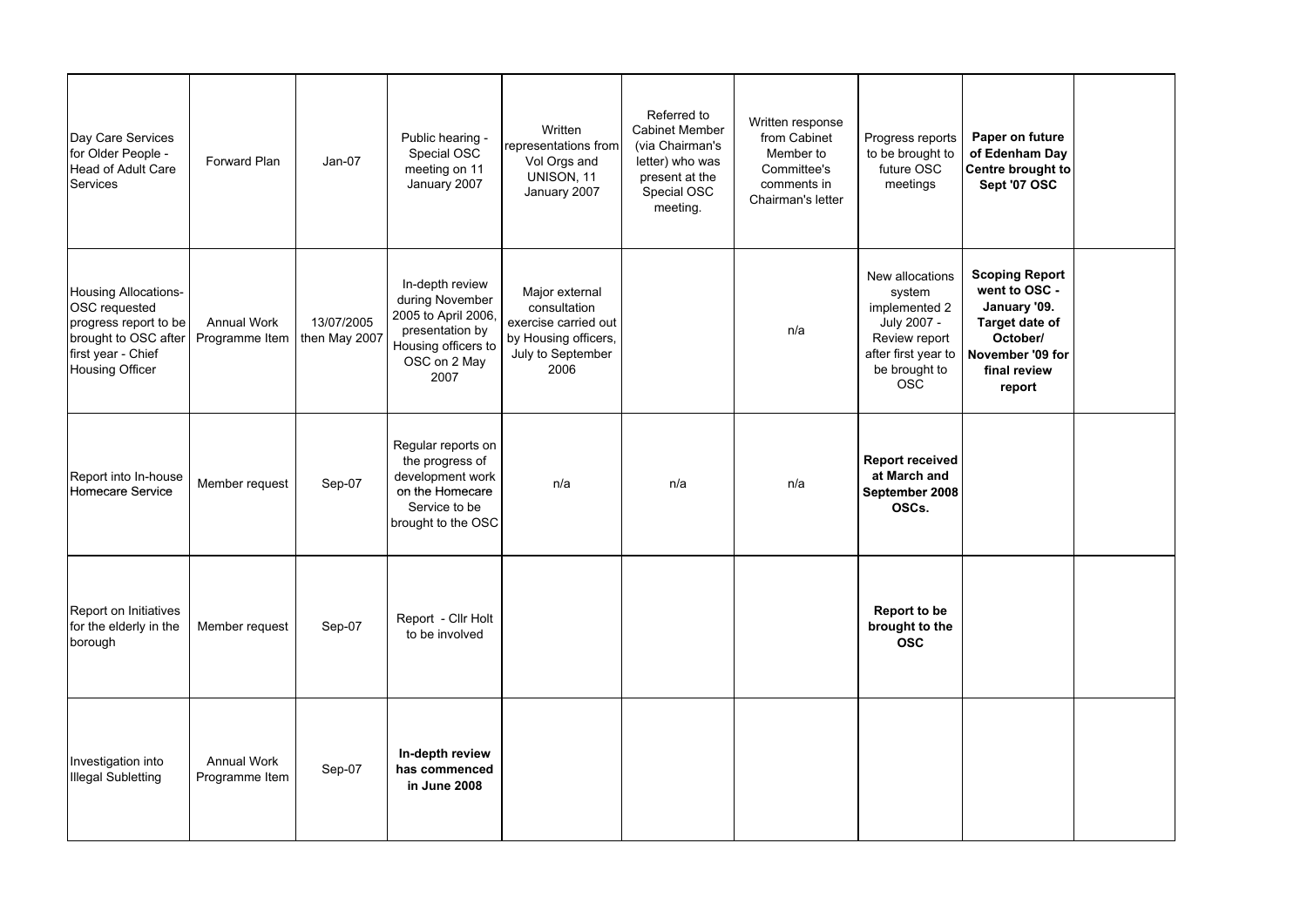| Day Care Services<br>for Older People -<br><b>Head of Adult Care</b><br><b>Services</b>                                                       | Forward Plan                         | $Jan-07$                    | Public hearing -<br>Special OSC<br>meeting on 11<br>January 2007                                                            | Written<br>representations from<br>Vol Orgs and<br>UNISON, 11<br>January 2007                               | Referred to<br><b>Cabinet Member</b><br>(via Chairman's<br>letter) who was<br>present at the<br>Special OSC<br>meeting. | Written response<br>from Cabinet<br>Member to<br>Committee's<br>comments in<br>Chairman's letter | Progress reports<br>to be brought to<br>future OSC<br>meetings                                                                   | Paper on future<br>of Edenham Day<br>Centre brought to<br>Sept '07 OSC                                                             |  |
|-----------------------------------------------------------------------------------------------------------------------------------------------|--------------------------------------|-----------------------------|-----------------------------------------------------------------------------------------------------------------------------|-------------------------------------------------------------------------------------------------------------|-------------------------------------------------------------------------------------------------------------------------|--------------------------------------------------------------------------------------------------|----------------------------------------------------------------------------------------------------------------------------------|------------------------------------------------------------------------------------------------------------------------------------|--|
| <b>Housing Allocations-</b><br>OSC requested<br>progress report to be<br>brought to OSC after<br>first year - Chief<br><b>Housing Officer</b> | <b>Annual Work</b><br>Programme Item | 13/07/2005<br>then May 2007 | In-depth review<br>during November<br>2005 to April 2006,<br>presentation by<br>Housing officers to<br>OSC on 2 May<br>2007 | Major external<br>consultation<br>exercise carried out<br>by Housing officers,<br>July to September<br>2006 |                                                                                                                         | n/a                                                                                              | New allocations<br>system<br>implemented 2<br>July 2007 -<br>Review report<br>after first year to<br>be brought to<br><b>OSC</b> | <b>Scoping Report</b><br>went to OSC -<br>January '09.<br>Target date of<br>October/<br>November '09 for<br>final review<br>report |  |
| Report into In-house<br>Homecare Service                                                                                                      | Member request                       | Sep-07                      | Regular reports on<br>the progress of<br>development work<br>on the Homecare<br>Service to be<br>brought to the OSC         | n/a                                                                                                         | n/a                                                                                                                     | n/a                                                                                              | <b>Report received</b><br>at March and<br>September 2008<br>OSCs.                                                                |                                                                                                                                    |  |
| Report on Initiatives<br>for the elderly in the<br>borough                                                                                    | Member request                       | Sep-07                      | Report - Cllr Holt<br>to be involved                                                                                        |                                                                                                             |                                                                                                                         |                                                                                                  | Report to be<br>brought to the<br><b>OSC</b>                                                                                     |                                                                                                                                    |  |
| Investigation into<br><b>Illegal Subletting</b>                                                                                               | <b>Annual Work</b><br>Programme Item | Sep-07                      | In-depth review<br>has commenced<br>in June 2008                                                                            |                                                                                                             |                                                                                                                         |                                                                                                  |                                                                                                                                  |                                                                                                                                    |  |